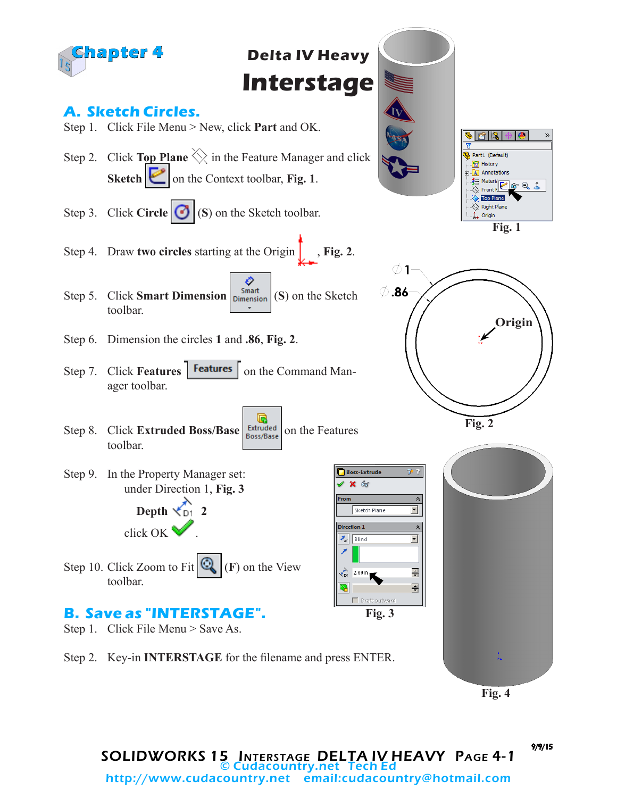

**Fig. 4**

#### SOLIDWORKS 15 Interstage DELTA IV HEAVY Page 4-1 © Cudacountry.net Tech Ed http://www.cudacountry.net email:cudacountry@hotmail.com

9/9/15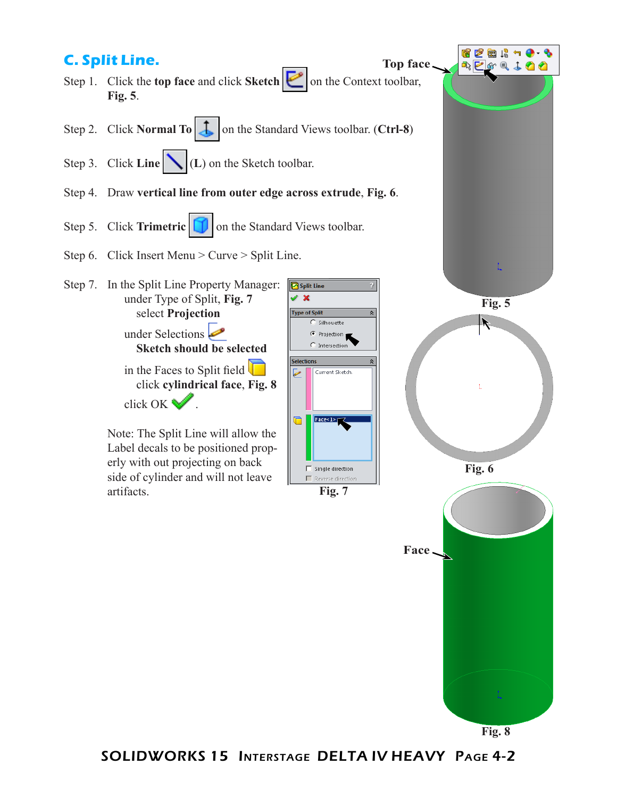

SOLIDWORKS 15 Interstage DELTA IV HEAVY Page 4-2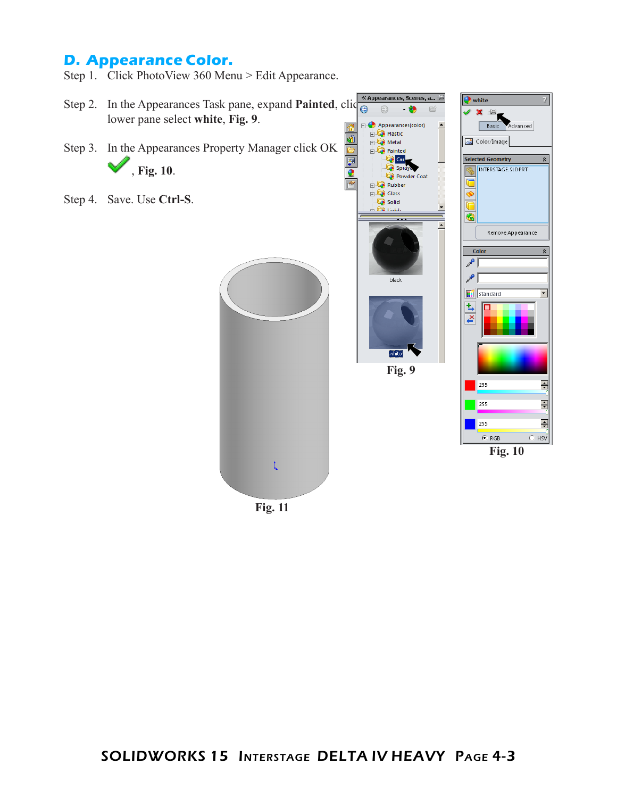## **D. Appearance Color.**

Step 1. Click PhotoView 360 Menu > Edit Appearance.



**Fig. 11**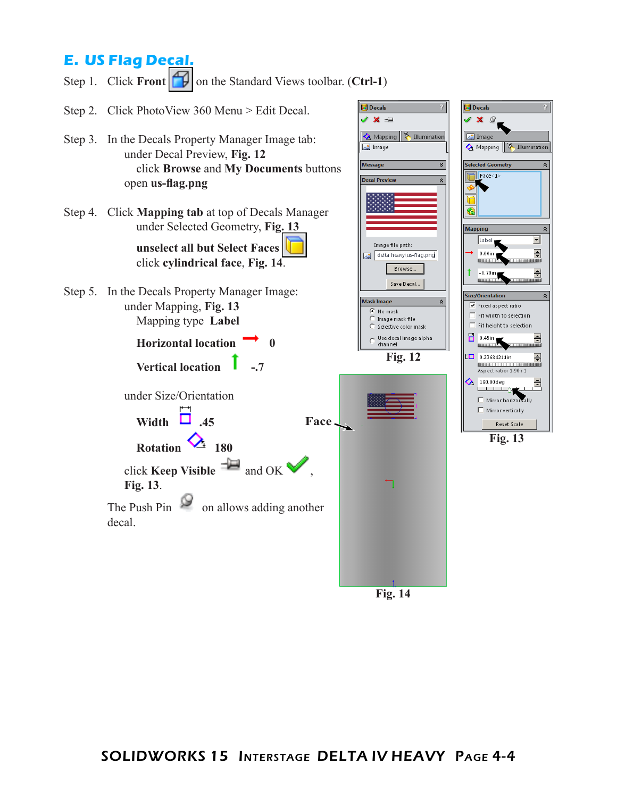# **E. US Flag Decal.**

Step 1. Click **Front on** the Standard Views toolbar. (**Ctrl-1**)

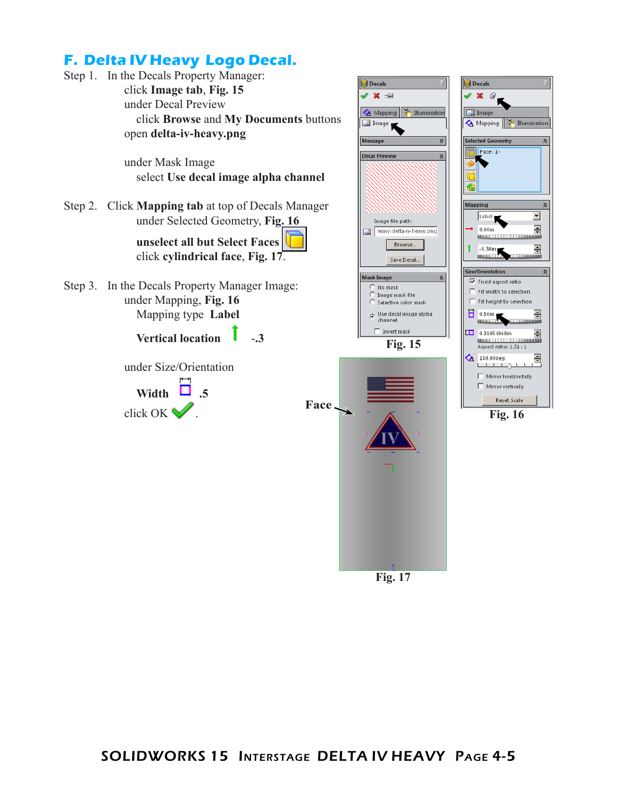

**Fig. 17**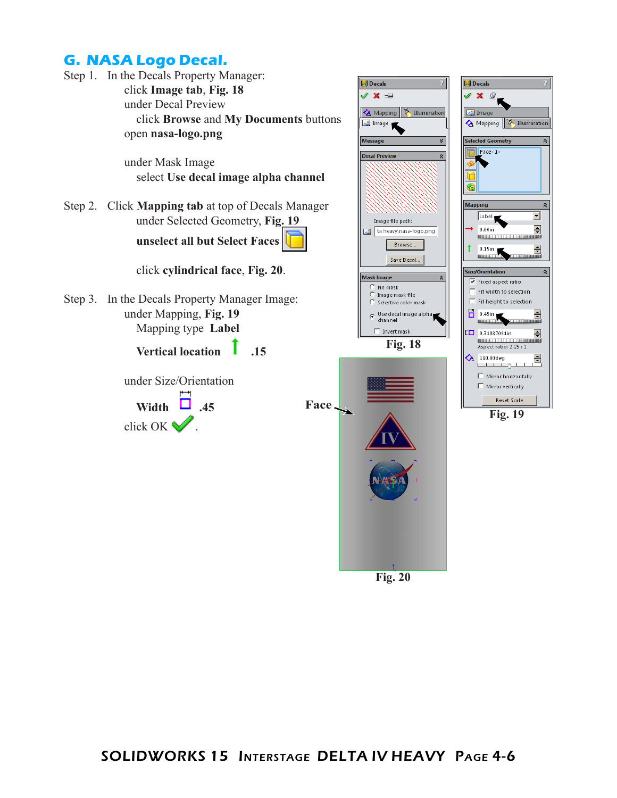## **G. NASA Logo Decal.**